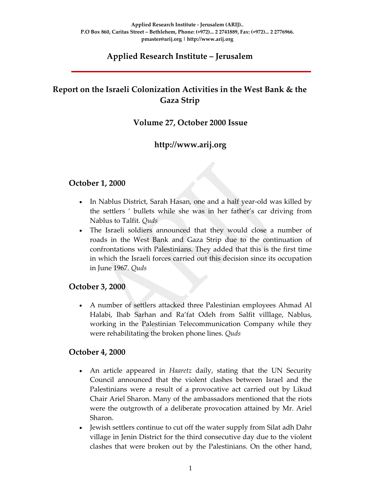## **Applied Research Institute – Jerusalem**

# **Report on the Israeli Colonization Activities in the West Bank & the Gaza Strip**

## **Volume 27, October 2000 Issue**

## **http://www.arij.org**

#### **October 1, 2000**

- In Nablus District, Sarah Hasan, one and a half year-old was killed by the settlers ' bullets while she was in her father's car driving from Nablus to Talfit. *Quds*
- The Israeli soldiers announced that they would close a number of roads in the West Bank and Gaza Strip due to the continuation of confrontations with Palestinians. They added that this is the first time in which the Israeli forces carried out this decision since its occupation in June 1967*. Quds*

## **October 3, 2000**

• A number of settlers attacked three Palestinian employees Ahmad Al Halabi, Ihab Sarhan and Ra'fat Odeh from Salfit villlage, Nablus, working in the Palestinian Telecommunication Company while they were rehabilitating the broken phone lines. *Quds*

#### **October 4, 2000**

- An article appeared in *Haaretz* daily, stating that the UN Security Council announced that the violent clashes between Israel and the Palestinians were a result of a provocative act carried out by Likud Chair Ariel Sharon. Many of the ambassadors mentioned that the riots were the outgrowth of a deliberate provocation attained by Mr. Ariel Sharon.
- Jewish settlers continue to cut off the water supply from Silat adh Dahr village in Jenin District for the third consecutive day due to the violent clashes that were broken out by the Palestinians. On the other hand,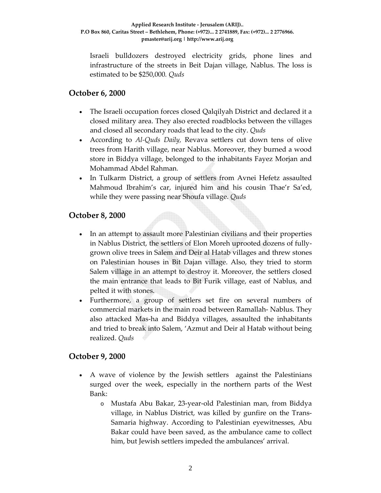Israeli bulldozers destroyed electricity grids, phone lines and infrastructure of the streets in Beit Dajan village, Nablus. The loss is estimated to be \$250,000*. Quds*

#### **October 6, 2000**

- The Israeli occupation forces closed Qalqilyah District and declared it a closed military area. They also erected roadblocks between the villages and closed all secondary roads that lead to the city. *Quds*
- According to *Al‐Quds Daily,* Revava settlers cut down tens of olive trees from Harith village, near Nablus. Moreover, they burned a wood store in Biddya village, belonged to the inhabitants Fayez Morjan and Mohammad Abdel Rahman*.*
- In Tulkarm District, a group of settlers from Avnei Hefetz assaulted Mahmoud Ibrahim's car, injured him and his cousin Thae'r Sa'ed, while they were passing near Shoufa village. *Quds*

## **October 8, 2000**

- In an attempt to assault more Palestinian civilians and their properties in Nablus District, the settlers of Elon Moreh uprooted dozens of fully‐ grown olive trees in Salem and Deir al Hatab villages and threw stones on Palestinian houses in Bit Dajan village. Also, they tried to storm Salem village in an attempt to destroy it. Moreover, the settlers closed the main entrance that leads to Bit Furik village, east of Nablus, and pelted it with stones.
- Furthermore, a group of settlers set fire on several numbers of commercial markets in the main road between Ramallah‐ Nablus. They also attacked Mas‐ha and Biddya villages, assaulted the inhabitants and tried to break into Salem, 'Azmut and Deir al Hatab without being realized. *Quds*

## **October 9, 2000**

- A wave of violence by the Jewish settlers against the Palestinians surged over the week, especially in the northern parts of the West Bank:
	- o Mustafa Abu Bakar, 23‐year‐old Palestinian man, from Biddya village, in Nablus District, was killed by gunfire on the Trans‐ Samaria highway. According to Palestinian eyewitnesses, Abu Bakar could have been saved, as the ambulance came to collect him, but Jewish settlers impeded the ambulances' arrival.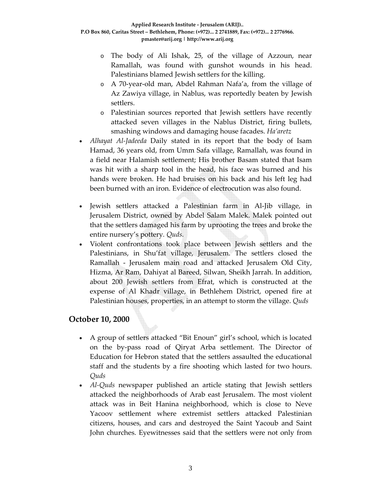- o The body of Ali Ishak, 25, of the village of Azzoun, near Ramallah, was found with gunshot wounds in his head. Palestinians blamed Jewish settlers for the killing.
- o A 70‐year‐old man, Abdel Rahman Nafa'a, from the village of Az Zawiya village, in Nablus, was reportedly beaten by Jewish settlers.
- o Palestinian sources reported that Jewish settlers have recently attacked seven villages in the Nablus District, firing bullets, smashing windows and damaging house facades. *Ha'aretz*
- *Alhayat Al-Jadeeda* Daily stated in its report that the body of Isam Hamad, 36 years old, from Umm Safa village, Ramallah, was found in a field near Halamish settlement; His brother Basam stated that Isam was hit with a sharp tool in the head, his face was burned and his hands were broken. He had bruises on his back and his left leg had been burned with an iron. Evidence of electrocution was also found.
- Jewish settlers attacked a Palestinian farm in Al‐Jib village, in Jerusalem District, owned by Abdel Salam Malek. Malek pointed out that the settlers damaged his farm by uprooting the trees and broke the entire nursery's pottery*. Quds.*
- Violent confrontations took place between Jewish settlers and the Palestinians, in Shu'fat village, Jerusalem. The settlers closed the Ramallah ‐ Jerusalem main road and attacked Jerusalem Old City, Hizma, Ar Ram, Dahiyat al Bareed, Silwan, Sheikh Jarrah. In addition, about 200 Jewish settlers from Efrat, which is constructed at the expense of Al Khadr village, in Bethlehem District, opened fire at Palestinian houses, properties, in an attempt to storm the village. *Quds*

## **October 10, 2000**

- A group of settlers attacked "Bit Enoun" girl's school, which is located on the by‐pass road of Qiryat Arba settlement. The Director of Education for Hebron stated that the settlers assaulted the educational staff and the students by a fire shooting which lasted for two hours. *Quds*
- *Al-Quds* newspaper published an article stating that Jewish settlers attacked the neighborhoods of Arab east Jerusalem. The most violent attack was in Beit Hanina neighborhood, which is close to Neve Yacoov settlement where extremist settlers attacked Palestinian citizens, houses, and cars and destroyed the Saint Yacoub and Saint John churches. Eyewitnesses said that the settlers were not only from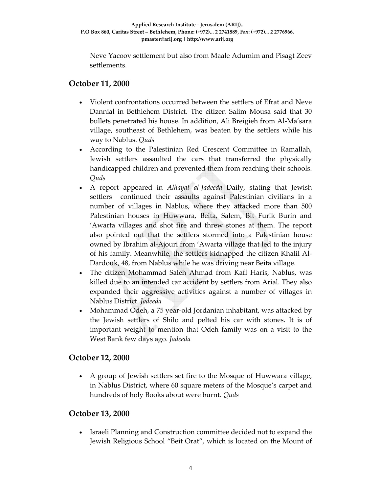Neve Yacoov settlement but also from Maale Adumim and Pisagt Zeev settlements.

#### **October 11, 2000**

- Violent confrontations occurred between the settlers of Efrat and Neve Dannial in Bethlehem District. The citizen Salim Mousa said that 30 bullets penetrated his house. In addition, Ali Breigieh from Al‐Ma'sara village, southeast of Bethlehem, was beaten by the settlers while his way to Nablus. *Quds*
- According to the Palestinian Red Crescent Committee in Ramallah, Jewish settlers assaulted the cars that transferred the physically handicapped children and prevented them from reaching their schools. *Quds*
- A report appeared in *Alhayat al‐Jadeeda* Daily, stating that Jewish settlers continued their assaults against Palestinian civilians in a number of villages in Nablus, where they attacked more than 500 Palestinian houses in Huwwara, Beita, Salem, Bit Furik Burin and 'Awarta villages and shot fire and threw stones at them. The report also pointed out that the settlers stormed into a Palestinian house owned by Ibrahim al‐Ajouri from 'Awarta village that led to the injury of his family. Meanwhile, the settlers kidnapped the citizen Khalil Al‐ Dardouk, 48, from Nablus while he was driving near Beita village.
- The citizen Mohammad Saleh Ahmad from Kafl Haris, Nablus, was killed due to an intended car accident by settlers from Arial. They also expanded their aggressive activities against a number of villages in Nablus District. *Jadeeda*
- Mohammad Odeh, a 75 year‐old Jordanian inhabitant, was attacked by the Jewish settlers of Shilo and pelted his car with stones. It is of important weight to mention that Odeh family was on a visit to the West Bank few days ago. *Jadeeda*

## **October 12, 2000**

• A group of Jewish settlers set fire to the Mosque of Huwwara village, in Nablus District, where 60 square meters of the Mosque's carpet and hundreds of holy Books about were burnt. *Quds*

#### **October 13, 2000**

• Israeli Planning and Construction committee decided not to expand the Jewish Religious School "Beit Orat", which is located on the Mount of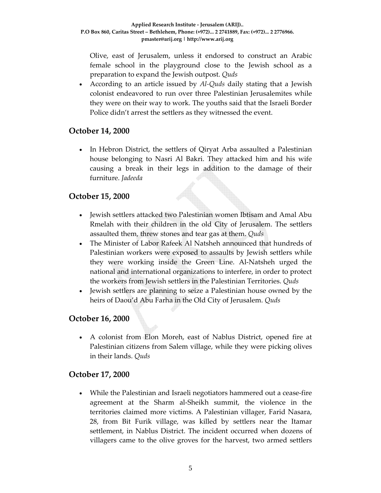Olive, east of Jerusalem, unless it endorsed to construct an Arabic female school in the playground close to the Jewish school as a preparation to expand the Jewish outpost. *Quds*

• According to an article issued by *Al‐Quds* daily stating that a Jewish colonist endeavored to run over three Palestinian Jerusalemites while they were on their way to work. The youths said that the Israeli Border Police didn't arrest the settlers as they witnessed the event.

## **October 14, 2000**

• In Hebron District, the settlers of Qiryat Arba assaulted a Palestinian house belonging to Nasri Al Bakri. They attacked him and his wife causing a break in their legs in addition to the damage of their furniture. *Jadeeda*

#### **October 15, 2000**

- Jewish settlers attacked two Palestinian women Ibtisam and Amal Abu Rmelah with their children in the old City of Jerusalem. The settlers assaulted them, threw stones and tear gas at them. *Quds*
- The Minister of Labor Rafeek Al Natsheh announced that hundreds of Palestinian workers were exposed to assaults by Jewish settlers while they were working inside the Green Line. Al‐Natsheh urged the national and international organizations to interfere, in order to protect the workers from Jewish settlers in the Palestinian Territories. *Quds*
- Jewish settlers are planning to seize a Palestinian house owned by the heirs of Daou'd Abu Farha in the Old City of Jerusalem. *Quds*

## **October 16, 2000**

• A colonist from Elon Moreh, east of Nablus District, opened fire at Palestinian citizens from Salem village, while they were picking olives in their lands. *Quds*

#### **October 17, 2000**

• While the Palestinian and Israeli negotiators hammered out a cease-fire agreement at the Sharm al‐Sheikh summit, the violence in the territories claimed more victims. A Palestinian villager, Farid Nasara, 28, from Bit Furik village, was killed by settlers near the Itamar settlement, in Nablus District. The incident occurred when dozens of villagers came to the olive groves for the harvest, two armed settlers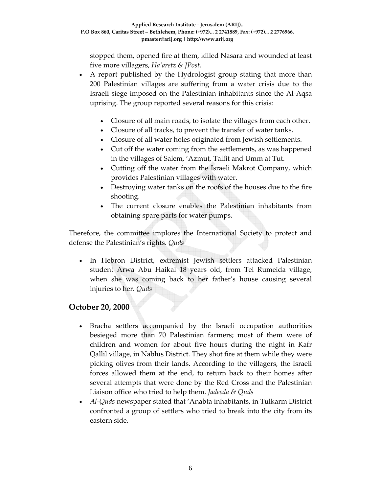stopped them, opened fire at them, killed Nasara and wounded at least five more villagers, *Ha'aretz & JPost*.

- A report published by the Hydrologist group stating that more than 200 Palestinian villages are suffering from a water crisis due to the Israeli siege imposed on the Palestinian inhabitants since the Al‐Aqsa uprising. The group reported several reasons for this crisis:
	- Closure of all main roads, to isolate the villages from each other.
	- Closure of all tracks, to prevent the transfer of water tanks.
	- Closure of all water holes originated from Jewish settlements.
	- Cut off the water coming from the settlements, as was happened in the villages of Salem, 'Azmut, Talfit and Umm at Tut.
	- Cutting off the water from the Israeli Makrot Company, which provides Palestinian villages with water.
	- Destroying water tanks on the roofs of the houses due to the fire shooting.
	- The current closure enables the Palestinian inhabitants from obtaining spare parts for water pumps.

Therefore, the committee implores the International Society to protect and defense the Palestinian's rights. *Quds*

• In Hebron District, extremist Jewish settlers attacked Palestinian student Arwa Abu Haikal 18 years old, from Tel Rumeida village, when she was coming back to her father's house causing several injuries to her. *Quds*

## **October 20, 2000**

- Bracha settlers accompanied by the Israeli occupation authorities besieged more than 70 Palestinian farmers; most of them were of children and women for about five hours during the night in Kafr Qallil village, in Nablus District. They shot fire at them while they were picking olives from their lands. According to the villagers, the Israeli forces allowed them at the end, to return back to their homes after several attempts that were done by the Red Cross and the Palestinian Liaison office who tried to help them. *Jadeeda & Quds*
- *Al‐Quds* newspaper stated that 'Anabta inhabitants, in Tulkarm District confronted a group of settlers who tried to break into the city from its eastern side.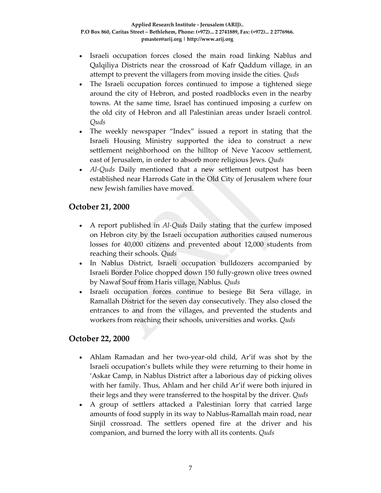- Israeli occupation forces closed the main road linking Nablus and Qalqiliya Districts near the crossroad of Kafr Qaddum village*,* in an attempt to prevent the villagers from moving inside the cities*. Quds*
- The Israeli occupation forces continued to impose a tightened siege around the city of Hebron, and posted roadblocks even in the nearby towns. At the same time, Israel has continued imposing a curfew on the old city of Hebron and all Palestinian areas under Israeli control*. Quds*
- The weekly newspaper "Index" issued a report in stating that the Israeli Housing Ministry supported the idea to construct a new settlement neighborhood on the hilltop of Neve Yacoov settlement, east of Jerusalem, in order to absorb more religious Jews. *Quds*
- *Al‐Quds* Daily mentioned that a new settlement outpost has been established near Harrods Gate in the Old City of Jerusalem where four new Jewish families have moved.

## **October 21, 2000**

- A report published in *Al-Quds* Daily stating that the curfew imposed on Hebron city by the Israeli occupation authorities caused numerous losses for 40,000 citizens and prevented about 12,000 students from reaching their schools. *Quds*
- In Nablus District, Israeli occupation bulldozers accompanied by Israeli Border Police chopped down 150 fully‐grown olive trees owned by Nawaf Souf from Haris village, Nablus*. Quds*
- Israeli occupation forces continue to besiege Bit Sera village, in Ramallah District for the seven day consecutively. They also closed the entrances to and from the villages, and prevented the students and workers from reaching their schools, universities and works*. Quds*

## **October 22, 2000**

- Ahlam Ramadan and her two-year-old child, Ar'if was shot by the Israeli occupation's bullets while they were returning to their home in 'Askar Camp, in Nablus District after a laborious day of picking olives with her family. Thus, Ahlam and her child Ar'if were both injured in their legs and they were transferred to the hospital by the driver. *Quds*
- A group of settlers attacked a Palestinian lorry that carried large amounts of food supply in its way to Nablus‐Ramallah main road, near Sinjil crossroad. The settlers opened fire at the driver and his companion, and burned the lorry with all its contents. *Quds*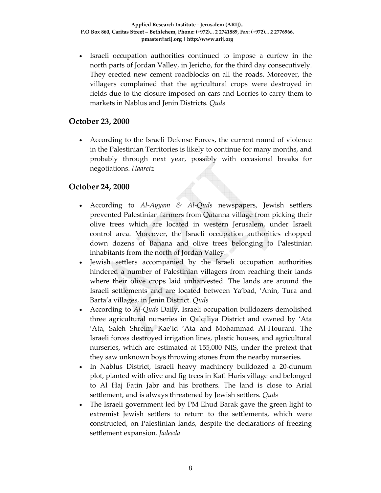Israeli occupation authorities continued to impose a curfew in the north parts of Jordan Valley, in Jericho, for the third day consecutively. They erected new cement roadblocks on all the roads. Moreover, the villagers complained that the agricultural crops were destroyed in fields due to the closure imposed on cars and Lorries to carry them to markets in Nablus and Jenin Districts. *Quds*

## **October 23, 2000**

• According to the Israeli Defense Forces, the current round of violence in the Palestinian Territories is likely to continue for many months, and probably through next year, possibly with occasional breaks for negotiations. *Haaretz*

## **October 24, 2000**

- According to *Al‐Ayyam & Al‐Quds* newspapers, Jewish settlers prevented Palestinian farmers from Qatanna village from picking their olive trees which are located in western Jerusalem, under Israeli control area. Moreover, the Israeli occupation authorities chopped down dozens of Banana and olive trees belonging to Palestinian inhabitants from the north of Jordan Valley.
- Jewish settlers accompanied by the Israeli occupation authorities hindered a number of Palestinian villagers from reaching their lands where their olive crops laid unharvested. The lands are around the Israeli settlements and are located between Ya'bad, 'Anin, Tura and Barta'a villages, in Jenin District. *Quds*
- According to *Al‐Quds* Daily, Israeli occupation bulldozers demolished three agricultural nurseries in Qalqiliya District and owned by 'Ata 'Ata, Saleh Shreim, Kae'id 'Ata and Mohammad Al‐Hourani. The Israeli forces destroyed irrigation lines, plastic houses, and agricultural nurseries, which are estimated at 155,000 NIS, under the pretext that they saw unknown boys throwing stones from the nearby nurseries.
- In Nablus District, Israeli heavy machinery bulldozed a 20‐dunum plot, planted with olive and fig trees in Kafl Haris village and belonged to Al Haj Fatin Jabr and his brothers. The land is close to Arial settlement, and is always threatened by Jewish settlers. *Quds*
- The Israeli government led by PM Ehud Barak gave the green light to extremist Jewish settlers to return to the settlements, which were constructed, on Palestinian lands, despite the declarations of freezing settlement expansion*. Jadeeda*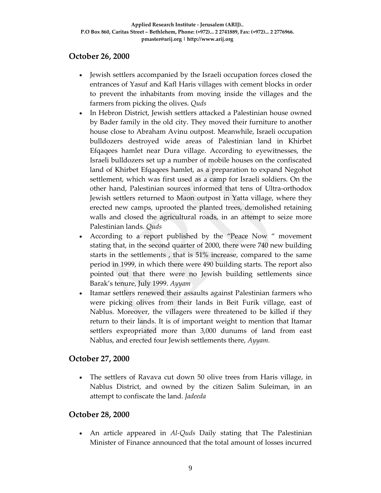#### **October 26, 2000**

- Jewish settlers accompanied by the Israeli occupation forces closed the entrances of Yasuf and Kafl Haris villages with cement blocks in order to prevent the inhabitants from moving inside the villages and the farmers from picking the olives. *Quds*
- In Hebron District, Jewish settlers attacked a Palestinian house owned by Bader family in the old city. They moved their furniture to another house close to Abraham Avinu outpost. Meanwhile, Israeli occupation bulldozers destroyed wide areas of Palestinian land in Khirbet Efqaqees hamlet near Dura village. According to eyewitnesses, the Israeli bulldozers set up a number of mobile houses on the confiscated land of Khirbet Efqaqees hamlet, as a preparation to expand Negohot settlement, which was first used as a camp for Israeli soldiers. On the other hand, Palestinian sources informed that tens of Ultra‐orthodox Jewish settlers returned to Maon outpost in Yatta village, where they erected new camps, uprooted the planted trees, demolished retaining walls and closed the agricultural roads, in an attempt to seize more Palestinian lands. *Quds*
- According to a report published by the "Peace Now " movement stating that, in the second quarter of 2000, there were 740 new building starts in the settlements , that is 51% increase, compared to the same period in 1999, in which there were 490 building starts. The report also pointed out that there were no Jewish building settlements since Barak's tenure, July 1999. *Ayyam*
- Itamar settlers renewed their assaults against Palestinian farmers who were picking olives from their lands in Beit Furik village, east of Nablus. Moreover, the villagers were threatened to be killed if they return to their lands. It is of important weight to mention that Itamar settlers expropriated more than 3,000 dunums of land from east Nablus, and erected four Jewish settlements there, *Ayyam.*

## **October 27, 2000**

• The settlers of Ravava cut down 50 olive trees from Haris village, in Nablus District, and owned by the citizen Salim Suleiman, in an attempt to confiscate the land. *Jadeeda*

#### **October 28, 2000**

• An article appeared in *Al-Quds* Daily stating that The Palestinian Minister of Finance announced that the total amount of losses incurred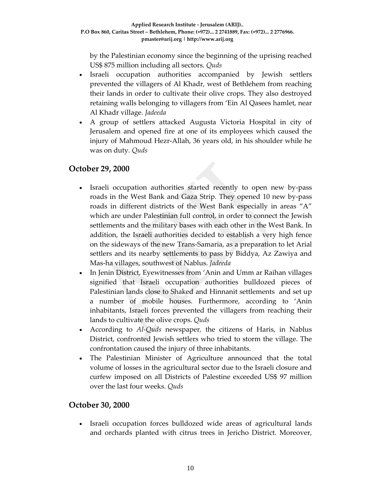by the Palestinian economy since the beginning of the uprising reached US\$ 875 million including all sectors. *Quds*

- Israeli occupation authorities accompanied by Jewish settlers prevented the villagers of Al Khadr, west of Bethlehem from reaching their lands in order to cultivate their olive crops. They also destroyed retaining walls belonging to villagers from 'Ein Al Qasees hamlet, near Al Khadr village*. Jadeeda*
- A group of settlers attacked Augusta Victoria Hospital in city of Jerusalem and opened fire at one of its employees which caused the injury of Mahmoud Hezr‐Allah, 36 years old, in his shoulder while he was on duty*. Quds*

## **October 29, 2000**

- Israeli occupation authorities started recently to open new by-pass roads in the West Bank and Gaza Strip. They opened 10 new by‐pass roads in different districts of the West Bank especially in areas "A" which are under Palestinian full control, in order to connect the Jewish settlements and the military bases with each other in the West Bank. In addition, the Israeli authorities decided to establish a very high fence on the sideways of the new Trans‐Samaria, as a preparation to let Arial settlers and its nearby settlements to pass by Biddya, Az Zawiya and Mas‐ha villages, southwest of Nablus. *Jadeeda*
- In Jenin District, Eyewitnesses from 'Anin and Umm ar Raihan villages signified that Israeli occupation authorities bulldozed pieces of Palestinian lands close to Shaked and Hinnanit settlements and set up a number of mobile houses. Furthermore, according to 'Anin inhabitants, Israeli forces prevented the villagers from reaching their lands to cultivate the olive crops. *Quds*
- According to *Al‐Quds* newspaper*,* the citizens of Haris, in Nablus District, confronted Jewish settlers who tried to storm the village. The confrontation caused the injury of three inhabitants.
- The Palestinian Minister of Agriculture announced that the total volume of losses in the agricultural sector due to the Israeli closure and curfew imposed on all Districts of Palestine exceeded US\$ 97 million over the last four weeks. *Quds*

## **October 30, 2000**

• Israeli occupation forces bulldozed wide areas of agricultural lands and orchards planted with citrus trees in Jericho District. Moreover,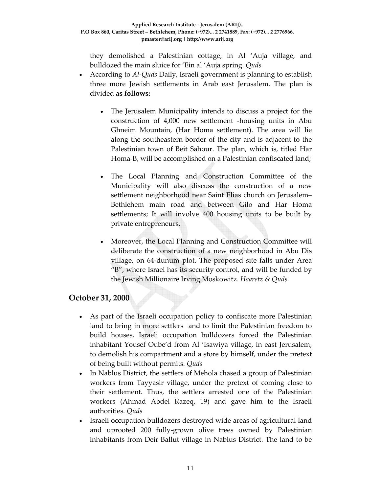they demolished a Palestinian cottage, in Al 'Auja village, and bulldozed the main sluice for 'Ein al 'Auja spring. *Quds*

- According to *Al‐Quds* Daily, Israeli government is planning to establish three more Jewish settlements in Arab east Jerusalem. The plan is divided **as follows:**
	- The Jerusalem Municipality intends to discuss a project for the construction of 4,000 new settlement ‐housing units in Abu Ghneim Mountain, (Har Homa settlement). The area will lie along the southeastern border of the city and is adjacent to the Palestinian town of Beit Sahour. The plan, which is, titled Har Homa‐B, will be accomplished on a Palestinian confiscated land;
	- The Local Planning and Construction Committee of the Municipality will also discuss the construction of a new settlement neighborhood near Saint Elias church on Jerusalem– Bethlehem main road and between Gilo and Har Homa settlements; It will involve 400 housing units to be built by private entrepreneurs.
	- Moreover, the Local Planning and Construction Committee will deliberate the construction of a new neighborhood in Abu Dis village, on 64‐dunum plot. The proposed site falls under Area "B", where Israel has its security control, and will be funded by the Jewish Millionaire Irving Moskowitz. *Haaretz & Quds*

# **October 31, 2000**

- As part of the Israeli occupation policy to confiscate more Palestinian land to bring in more settlers and to limit the Palestinian freedom to build houses, Israeli occupation bulldozers forced the Palestinian inhabitant Yousef Oube'd from Al 'Isawiya village, in east Jerusalem, to demolish his compartment and a store by himself, under the pretext of being built without permits*. Quds*
- In Nablus District, the settlers of Mehola chased a group of Palestinian workers from Tayyasir village, under the pretext of coming close to their settlement. Thus, the settlers arrested one of the Palestinian workers (Ahmad Abdel Razeq, 19) and gave him to the Israeli authorities*. Quds*
- Israeli occupation bulldozers destroyed wide areas of agricultural land and uprooted 200 fully‐grown olive trees owned by Palestinian inhabitants from Deir Ballut village in Nablus District. The land to be